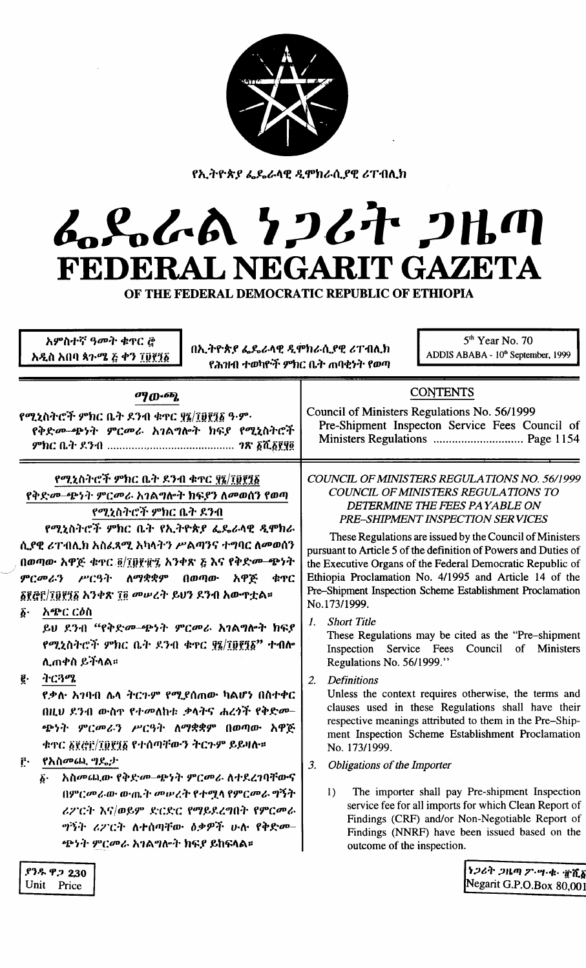

የኢትዮጵያ ፌዴራላዊ ዲሞክራሲያዊ ሪፐብሊክ

# ムくんへん フンムヤ クルの FEDERAL NEGARIT GAZETA

OF THE FEDERAL DEMOCRATIC REPUBLIC OF ETHIOPIA

አምስተኛ ዓመት ቁዋር @ አዲስ አበባ ጳጉሜ ፭ ቀን ፲፱፻፺፩

በኢትዮጵያ ፌዴራላዊ ዲሞክራሲያዊ ሪፐብሊክ የሕዝብ ተወካዮች ምክር ቤት ጠባቂነት የወጣ

5<sup>th</sup> Year No. 70 ADDIS ABABA - 10<sup>th</sup> September, 1999

#### ማውጭ.

የሚኒስትሮች ምክር ቤት ደንብ ቁዋር ፃኜ/アፀ፻፺፩ ዓ·ም· የቅድመ-ጭነት ምርመራ አገልግሎት ክፍያ የሚኒስትሮች 

የሚኒስትሮች ምክር ቤት ዶንብ ቁጥር ያ፯/፲፬፻፺፩ የቅድመ-ጭነት ምርመራ አገልግሎት ክፍያን ለመወሰን የወጣ

የሚኒስትሮች ምክር ቤት ደንብ

የሚኒስትሮች ምክር ቤት የኢትዮጵያ ፌዴራላዊ ዲሞክራ ሲያዊ ሪፐብሊክ አስፈጻሚ አካላትን ሥልጣንና ተግባር ለመወሰን በወጣው አዋጅ ቁዋር ፬/፲፬፻፹፯ አንቀጽ ፩ እና የቅድመ-ጭነት ምርመራን ሥርዓት ለማቋቋም  $0$ መጣው አዋጅ **¢TC δξ፭፫/፲፱፻፺፩ አንቀጽ ፲፬ መሠረት ይህን ደንብ አውጥቷል።** 

አጭር ርዕስ  $\boldsymbol{\delta}$ .

> ይህ ደንብ "የቅድመ-ጭነት ምርመራ አገልግሎት ክፍያ የሚኒስትሮች ምክር ቤት ደንብ ቁዋር ያ፤/፲፬፻፺፩" ተብሎ ሊጠቀስ ይችላል።

ትርጓሜ ę.

> <u>የቃሉ አገባብ ሌላ ትርጉም የሚደሰጠው ካልሆነ በስተቀር</u> በዚህ ደንብ ውስጥ የተመለከቱ ቃላትና ሐረጎች የቅድመ-ጭነት ምርመራን ሥርዓት ለማቋቋም በወጣው አዋጅ ቁጥር ፩፻፸፫/፲፬፻፺፩ የተሰጣቸውን ትርጉም ይይዛሎ።

የአስመጨ ግደ<sub>፡</sub>ታ  $\mathbf{r}$ .

> አስመጨው የቅድመ-ጭነት ምርመራ ለተደረገባቸውና ۶۰ በምርመራው ውጤት መሠረት የተሟላ የምርመራ ግኝት ሪፖርት እና/ወይም ድርድር የማይደረግበት የምርመራ ግኝት ሪፖርት ለተሰጣቸው ዕቃዎች ሁሉ የቅድመ– ጭነት ምርመራ አገልግሎት ክፍደ ይከፍላል።

# **CONTENTS**

Council of Ministers Regulations No. 56/1999 Pre-Shipment Inspecton Service Fees Council of 

COUNCIL OF MINISTERS REGULATIONS NO. 56/1999 COUNCIL OF MINISTERS REGULATIONS TO DETERMINE THE FEES PAYABLE ON PRE-SHIPMENT INSPECTION SERVICES

These Regulations are issued by the Council of Ministers pursuant to Article 5 of the definition of Powers and Duties of the Executive Organs of the Federal Democratic Republic of Ethiopia Proclamation No. 4/1995 and Article 14 of the Pre-Shipment Inspection Scheme Establishment Proclamation No.173/1999.

**Short Title**  $\mathbf{I}$ 

These Regulations may be cited as the "Pre-shipment" Inspection Service Fees Council of Ministers Regulations No. 56/1999."

 $2.$ **Definitions** 

Unless the context requires otherwise, the terms and clauses used in these Regulations shall have their respective meanings attributed to them in the Pre-Shipment Inspection Scheme Establishment Proclamation No. 173/1999.

- **Obligations of the Importer**  $3<sub>l</sub>$ 
	- The importer shall pay Pre-shipment Inspection  $\left| \right|$ service fee for all imports for which Clean Report of Findings (CRF) and/or Non-Negotiable Report of Findings (NNRF) have been issued based on the outcome of the inspection.

ነጋሪት ጋዜጣ ፖ・ሣ・ቁ・ #ሺፚ Negarit G.P.O.Box 80,001

*የንዱ ዋ.*ጋ 2,30 Unit Price